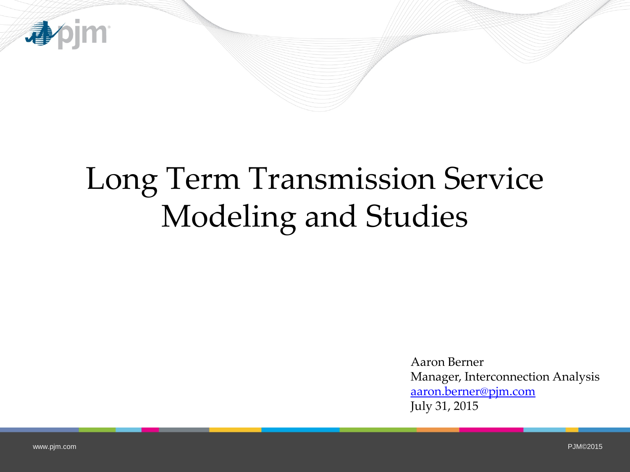

# Long Term Transmission Service Modeling and Studies

Aaron Berner Manager, Interconnection Analysis [aaron.berner@pjm.com](mailto:aaron.berner@pjm.com) July 31, 2015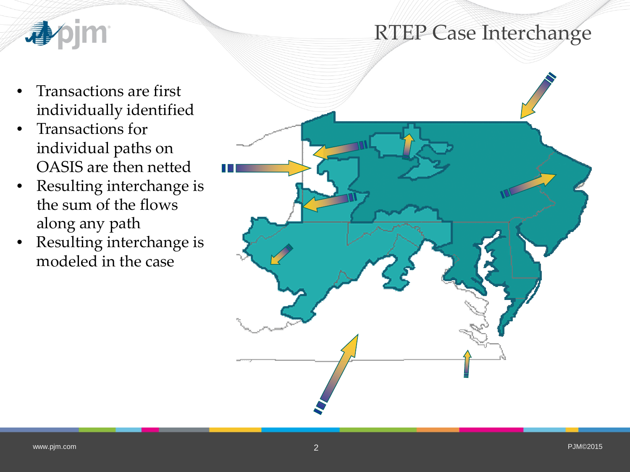### RTEP Case Interchange



- Transactions are first individually identified
- Transactions for individual paths on OASIS are then netted
- Resulting interchange is the sum of the flows along any path
- Resulting interchange is modeled in the case

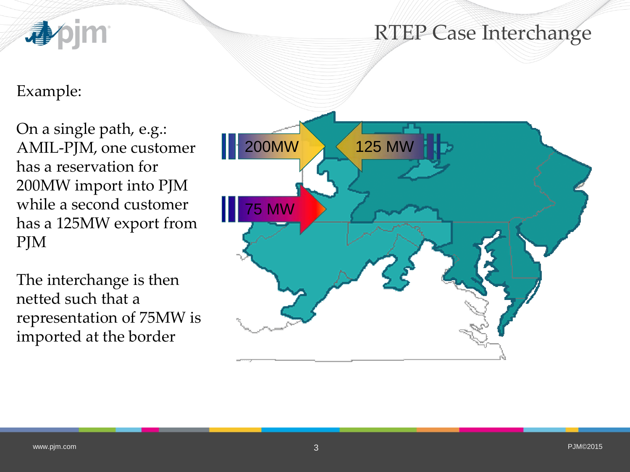

#### Example:

On a single path, e.g.: AMIL-PJM, one customer has a reservation for 200MW import into PJM while a second customer has a 125MW export from PJM

The interchange is then netted such that a representation of 75MW is imported at the border

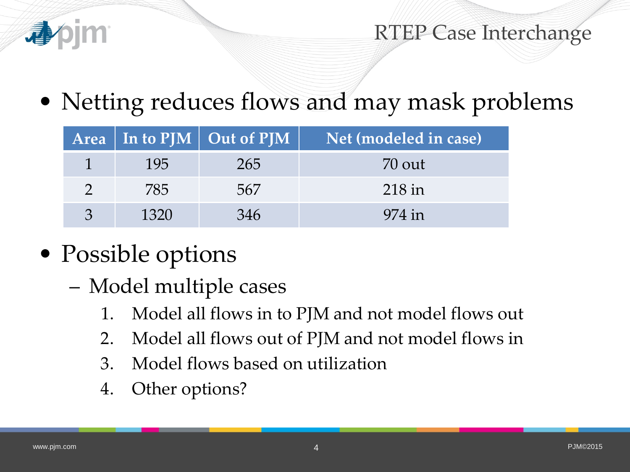

RTEP Case Interchange

• Netting reduces flows and may mask problems

|      | Area   In to PJM   Out of PJM | Net (modeled in case) |  |  |
|------|-------------------------------|-----------------------|--|--|
| 195  | 265                           | 70 out                |  |  |
| 785  | 567                           | $218$ in              |  |  |
| 1320 | 346                           | 974 in                |  |  |

- Possible options
	- Model multiple cases
		- 1. Model all flows in to PJM and not model flows out
		- 2. Model all flows out of PJM and not model flows in
		- 3. Model flows based on utilization
		- 4. Other options?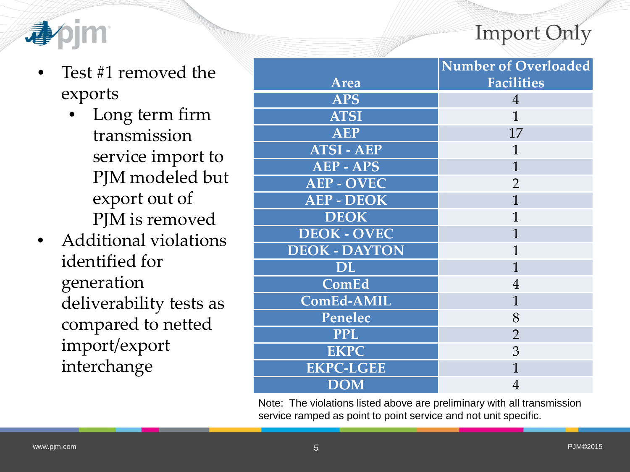## Import Only



- Test #1 removed the exports
	- Long term firm transmission service import to PJM modeled but export out of PJM is removed
- Additional violations identified for generation deliverability tests as compared to netted import/export interchange

|                      | <b>Number of Overloaded</b> |  |  |  |
|----------------------|-----------------------------|--|--|--|
| <b>Area</b>          | <b>Facilities</b>           |  |  |  |
| <b>APS</b>           | $\overline{4}$              |  |  |  |
| <b>ATSI</b>          | $\mathbf{1}$                |  |  |  |
| <b>AEP</b>           | 17                          |  |  |  |
| <b>ATSI - AEP</b>    | 1                           |  |  |  |
| <b>AEP - APS</b>     | $\mathbf{1}$                |  |  |  |
| <b>AEP - OVEC</b>    | $\overline{2}$              |  |  |  |
| <b>AEP - DEOK</b>    | $\mathbf{1}$                |  |  |  |
| <b>DEOK</b>          | 1                           |  |  |  |
| <b>DEOK - OVEC</b>   | $\overline{1}$              |  |  |  |
| <b>DEOK - DAYTON</b> | 1                           |  |  |  |
| <b>DL</b>            | 1                           |  |  |  |
| ComEd                | $\overline{4}$              |  |  |  |
| <b>ComEd-AMIL</b>    | 1                           |  |  |  |
| Penelec              | 8                           |  |  |  |
| <b>PPL</b>           | $\overline{2}$              |  |  |  |
| <b>EKPC</b>          | 3                           |  |  |  |
| <b>EKPC-LGEE</b>     | $\mathbf{1}$                |  |  |  |
| <b>DOM</b>           | $\overline{4}$              |  |  |  |

Note: The violations listed above are preliminary with all transmission service ramped as point to point service and not unit specific.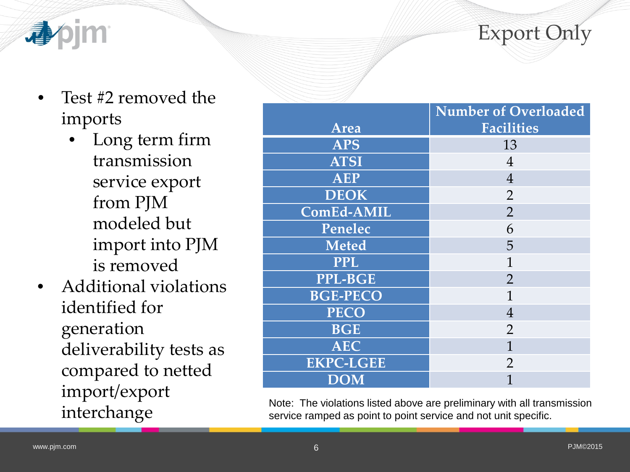

- - Test #2 removed the imports
		- Long term firm transmission service export from PJM modeled but import into PJM is removed
	- Additional violations identified for generation deliverability tests as compared to netted import/export interchange

|                  | <b>Number of Overloaded</b> |  |  |  |
|------------------|-----------------------------|--|--|--|
| Area             | Facilities                  |  |  |  |
| <b>APS</b>       | 13                          |  |  |  |
| <b>ATSI</b>      | $\overline{4}$              |  |  |  |
| <b>AEP</b>       | $\overline{4}$              |  |  |  |
| <b>DEOK</b>      | $\overline{2}$              |  |  |  |
| ComEd-AMIL       | $\overline{2}$              |  |  |  |
| Penelec          | 6                           |  |  |  |
| <b>Meted</b>     | 5                           |  |  |  |
| <b>PPL</b>       | $\mathbf{1}$                |  |  |  |
| <b>PPL-BGE</b>   | $\overline{2}$              |  |  |  |
| <b>BGE-PECO</b>  | 1                           |  |  |  |
| <b>PECO</b>      | $\overline{4}$              |  |  |  |
| <b>BGE</b>       | $\overline{2}$              |  |  |  |
| <b>AEC</b>       | $\mathbf{1}$                |  |  |  |
| <b>EKPC-LGEE</b> | $\overline{2}$              |  |  |  |
| <b>DOM</b>       |                             |  |  |  |

Note: The violations listed above are preliminary with all transmission service ramped as point to point service and not unit specific.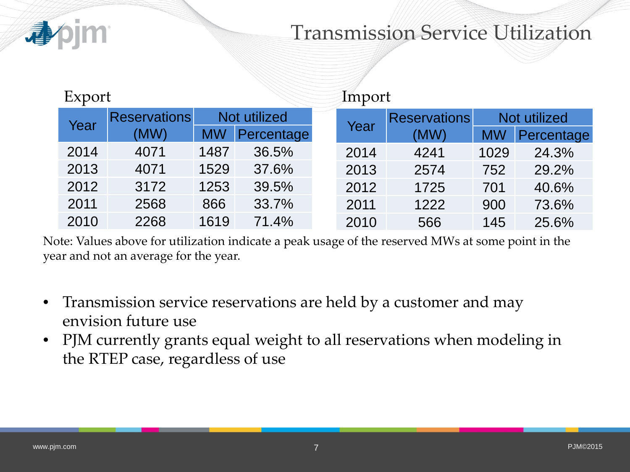

### Transmission Service Utilization

| Export |                     |              |            | Import |                     |              |            |
|--------|---------------------|--------------|------------|--------|---------------------|--------------|------------|
| Year   | <b>Reservations</b> | Not utilized |            | Year   | <b>Reservations</b> | Not utilized |            |
|        | (MW)                | <b>MW</b>    | Percentage |        | (MW)                | <b>MW</b>    | Percentage |
| 2014   | 4071                | 1487         | 36.5%      | 2014   | 4241                | 1029         | 24.3%      |
| 2013   | 4071                | 1529         | 37.6%      | 2013   | 2574                | 752          | 29.2%      |
| 2012   | 3172                | 1253         | 39.5%      | 2012   | 1725                | 701          | 40.6%      |
| 2011   | 2568                | 866          | 33.7%      | 2011   | 1222                | 900          | 73.6%      |
| 2010   | 2268                | 1619         | 71.4%      | 2010   | 566                 | 145          | 25.6%      |

Note: Values above for utilization indicate a peak usage of the reserved MWs at some point in the year and not an average for the year.

- Transmission service reservations are held by a customer and may envision future use
- PJM currently grants equal weight to all reservations when modeling in the RTEP case, regardless of use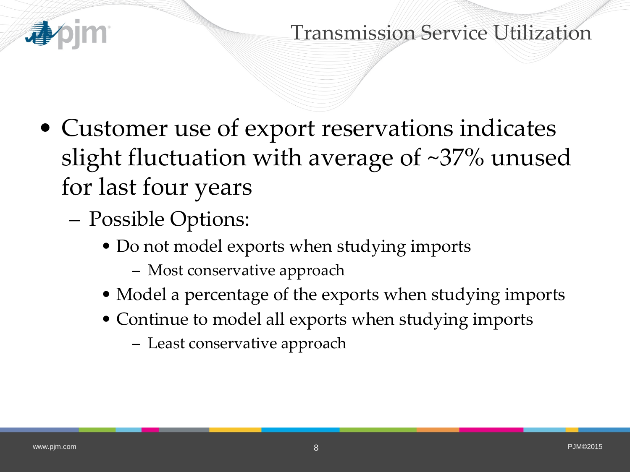

Transmission Service Utilization

- Customer use of export reservations indicates slight fluctuation with average of ~37% unused for last four years
	- Possible Options:
		- Do not model exports when studying imports
			- Most conservative approach
		- Model a percentage of the exports when studying imports
		- Continue to model all exports when studying imports
			- Least conservative approach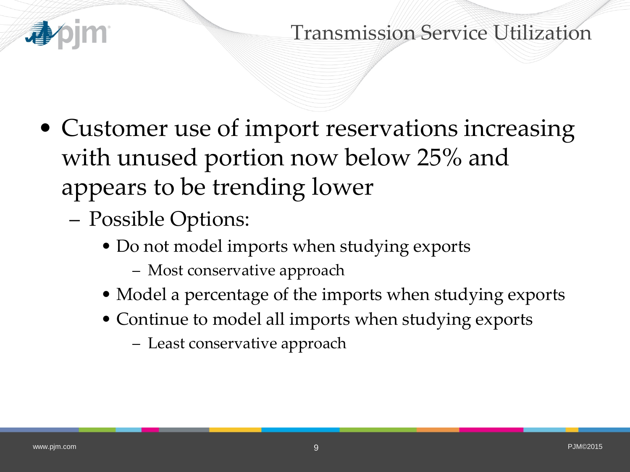

#### Transmission Service Utilization

- Customer use of import reservations increasing with unused portion now below 25% and appears to be trending lower
	- Possible Options:
		- Do not model imports when studying exports
			- Most conservative approach
		- Model a percentage of the imports when studying exports
		- Continue to model all imports when studying exports
			- Least conservative approach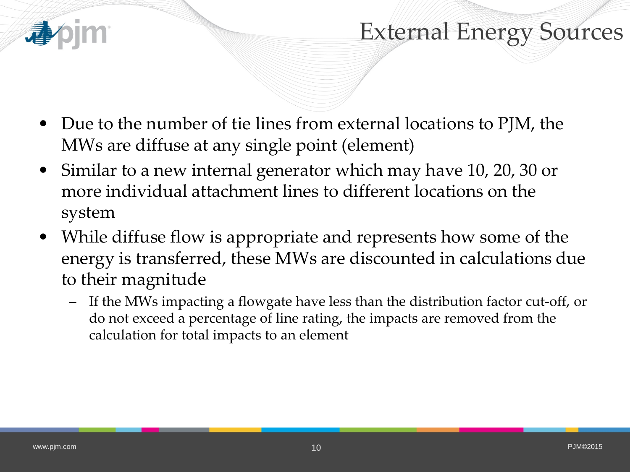

## External Energy Sources

- Due to the number of tie lines from external locations to PJM, the MWs are diffuse at any single point (element)
- Similar to a new internal generator which may have 10, 20, 30 or more individual attachment lines to different locations on the system
- While diffuse flow is appropriate and represents how some of the energy is transferred, these MWs are discounted in calculations due to their magnitude
	- If the MWs impacting a flowgate have less than the distribution factor cut-off, or do not exceed a percentage of line rating, the impacts are removed from the calculation for total impacts to an element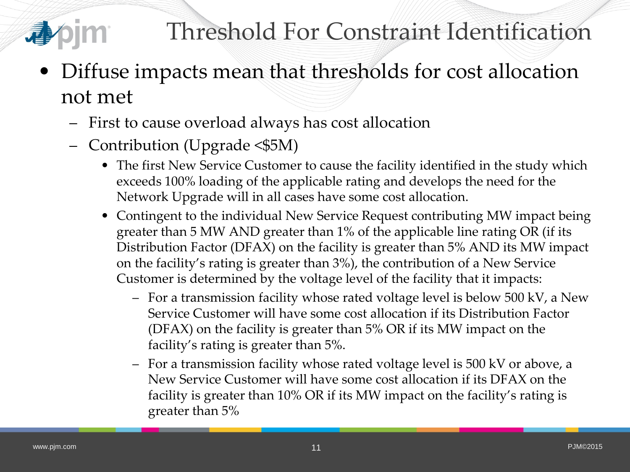

- Diffuse impacts mean that thresholds for cost allocation not met
	- First to cause overload always has cost allocation
	- Contribution (Upgrade <\$5M)
		- The first New Service Customer to cause the facility identified in the study which exceeds 100% loading of the applicable rating and develops the need for the Network Upgrade will in all cases have some cost allocation.
		- Contingent to the individual New Service Request contributing MW impact being greater than 5 MW AND greater than 1% of the applicable line rating OR (if its Distribution Factor (DFAX) on the facility is greater than 5% AND its MW impact on the facility's rating is greater than 3%), the contribution of a New Service Customer is determined by the voltage level of the facility that it impacts:
			- For a transmission facility whose rated voltage level is below 500 kV, a New Service Customer will have some cost allocation if its Distribution Factor (DFAX) on the facility is greater than 5% OR if its MW impact on the facility's rating is greater than 5%.
			- For a transmission facility whose rated voltage level is 500 kV or above, a New Service Customer will have some cost allocation if its DFAX on the facility is greater than 10% OR if its MW impact on the facility's rating is greater than 5%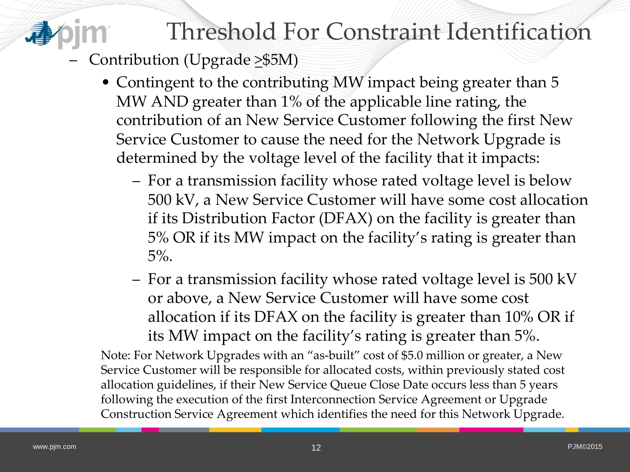## Threshold For Constraint Identification

- Contribution (Upgrade  $\geq$ \$5M)
	- Contingent to the contributing MW impact being greater than 5 MW AND greater than 1% of the applicable line rating, the contribution of an New Service Customer following the first New Service Customer to cause the need for the Network Upgrade is determined by the voltage level of the facility that it impacts:
		- For a transmission facility whose rated voltage level is below 500 kV, a New Service Customer will have some cost allocation if its Distribution Factor (DFAX) on the facility is greater than 5% OR if its MW impact on the facility's rating is greater than 5%.
		- For a transmission facility whose rated voltage level is 500 kV or above, a New Service Customer will have some cost allocation if its DFAX on the facility is greater than 10% OR if its MW impact on the facility's rating is greater than 5%.

Note: For Network Upgrades with an "as-built" cost of \$5.0 million or greater, a New Service Customer will be responsible for allocated costs, within previously stated cost allocation guidelines, if their New Service Queue Close Date occurs less than 5 years following the execution of the first Interconnection Service Agreement or Upgrade Construction Service Agreement which identifies the need for this Network Upgrade.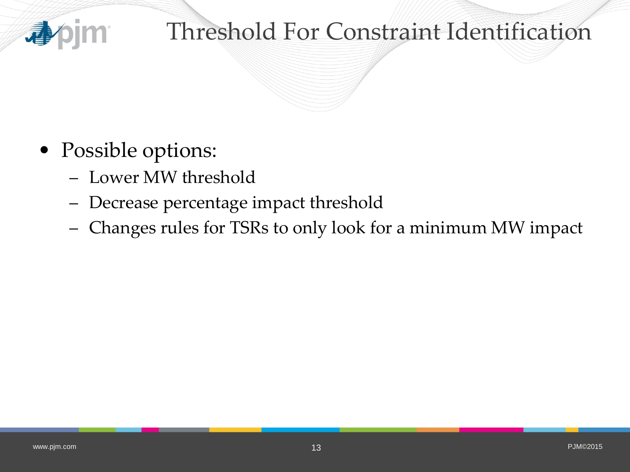

## Threshold For Constraint Identification

- Possible options:
	- Lower MW threshold
	- Decrease percentage impact threshold
	- Changes rules for TSRs to only look for a minimum MW impact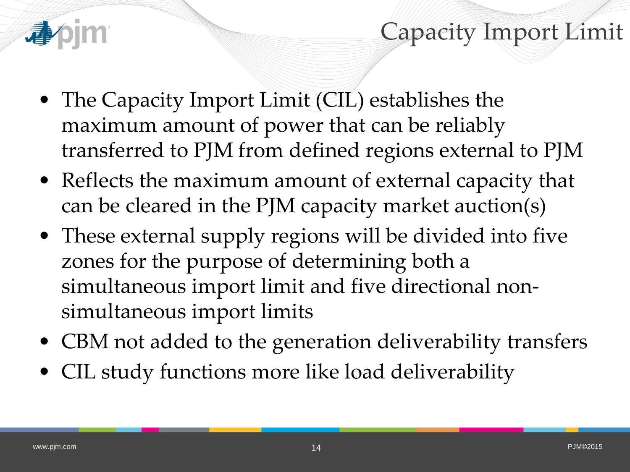

Capacity Import Limit

- The Capacity Import Limit (CIL) establishes the maximum amount of power that can be reliably transferred to PJM from defined regions external to PJM
- Reflects the maximum amount of external capacity that can be cleared in the PJM capacity market auction(s)
- These external supply regions will be divided into five zones for the purpose of determining both a simultaneous import limit and five directional nonsimultaneous import limits
- CBM not added to the generation deliverability transfers
- CIL study functions more like load deliverability